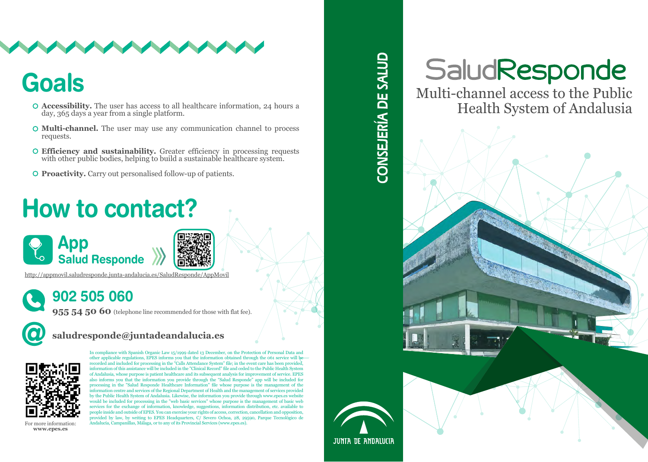

## **Goals**

- **Accessibility.** The user has access to all healthcare information, 24 hours a day, 365 days a year from a single platform.
- **Multi-channel.** The user may use any communication channel to process requests.
- **Efficiency and sustainability.** Greater efficiency in processing requests with other public bodies, helping to build a sustainable healthcare system.
- **Proactivity.** Carry out personalised follow-up of patients.

# How to contact?



http://appmovil.saludresponde.junta-andalucia.es/SaludResponde/AppMovil

## 902 505 060

**955 54 50 60** (telephone line recommended for those with flat fee).

### @ **saludresponde@juntadeandalucia.es**



In compliance with Spanish Organic Law 15/1999 dated 13 December, on the Protection of Personal Data and other applicable regulations, EPES informs you that the information obtained through the 061 service will be recorded and included for processing in the "Calls Attendance System" file; in the event care has been provided, information of this assistance will be included in the "Clinical Record" file and ceded to the Public Health System of Andalusia, whose purpose is patient healthcare and its subsequent analysis for improvement of service. EPES also informs you that the information you provide through the "Salud Responde" app will be included for processing in the "Salud Responde Healthcare Information" file whose purpose is the management of the information centre and services of the Regional Department of Health and the management of services provided by the Public Health System of Andalusia. Likewise, the information you provide through www.epes.es website would be included for processing in the "web basic services" whose purpose is the management of basic web services for the exchange of information, knowledge, suggestions, information distribution, etc. available to people inside and outside of EPES. You can exercise your rights of access, correction, cancellation and opposition, provided by law, by writing to EPES Headquarters, C/ Severo Ochoa, 28, 29590, Parque Tecnológico de Andalucía, Campanillas, Málaga, or to any of its Provincial Services (www.epes.es).

For more information: **www.epes.es**

# CONSEJERÍA DE SALUD

# SaludResponde

Multi-channel access to the Public Health System of Andalusia